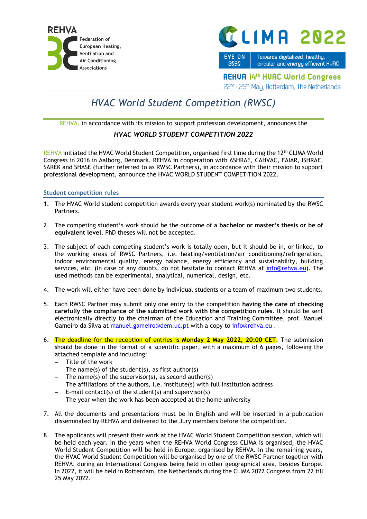



EYE ON Towards digitalized, healthy, 2030

circular and energy efficient HUAC

**REHUA 14th HUAC World Congress** 

22<sup>nd</sup> - 25<sup>th</sup> May, Rotterdam, The Netherlands

## *HVAC World Student Competition (RWSC)*

REHVA, in accordance with its mission to support profession development, announces the

## *HVAC WORLD STUDENT COMPETITION 2022*

REHVA initiated the HVAC World Student Competition, organised first time during the 12<sup>th</sup> CLIMA World Congress in 2016 in Aalborg, Denmark. REHVA in cooperation with ASHRAE, CAHVAC, FAIAR, ISHRAE, SAREK and SHASE (further referred to as RWSC Partners), in accordance with their mission to support professional development, announce the HVAC WORLD STUDENT COMPETITION 2022.

## **Student competition rules**

- 1. The HVAC World student competition awards every year student work(s) nominated by the RWSC Partners.
- 2. The competing student's work should be the outcome of a **bachelor or master's thesis or be of equivalent level.** PhD theses will not be accepted.
- 3. The subject of each competing student's work is totally open, but it should be in, or linked, to the working areas of RWSC Partners, i.e. heating/ventilation/air conditioning/refrigeration, indoor environmental quality, energy balance, energy efficiency and sustainability, building services, etc. (In case of any doubts, do not hesitate to contact REHVA at [info@rehva.eu\)](mailto:info@rehva.eu). The used methods can be experimental, analytical, numerical, design, etc.
- 4. The work will either have been done by individual students or a team of maximum two students.
- 5. Each RWSC Partner may submit only one entry to the competition **having the care of checking carefully the compliance of the submitted work with the competition rules**. It should be sent electronically directly to the chairman of the Education and Training Committee, prof. Manuel Gameiro da Silva at [manuel.gameiro@dem.uc.pt](mailto:manuel.gameiro@dem.uc.pt) with a copy to [info@rehva.eu](mailto:info@rehva.eu).
- 6. The deadline for the reception of entries is **Monday 2 May 2022, 20:00 CET**. The submission should be done in the format of a scientific paper, with a maximum of 6 pages, following the attached template and including:
	- − Title of the work
	- − The name(s) of the student(s), as first author(s)
	- The name(s) of the supervisor(s), as second author(s)
	- − The affiliations of the authors, i.e. institute(s) with full institution address
	- − E-mail contact(s) of the student(s) and supervisor(s)
	- The year when the work has been accepted at the home university
- 7. All the documents and presentations must be in English and will be inserted in a publication disseminated by REHVA and delivered to the Jury members before the competition.
- 8. The applicants will present their work at the HVAC World Student Competition session, which will be held each year. In the years when the REHVA World Congress CLIMA is organised, the HVAC World Student Competition will be held in Europe, organised by REHVA. In the remaining years, the HVAC World Student Competition will be organised by one of the RWSC Partner together with REHVA, during an International Congress being held in other geographical area, besides Europe. In 2022, it will be held in Rotterdam, the Netherlands during the CLIMA 2022 Congress from 22 till 25 May 2022.